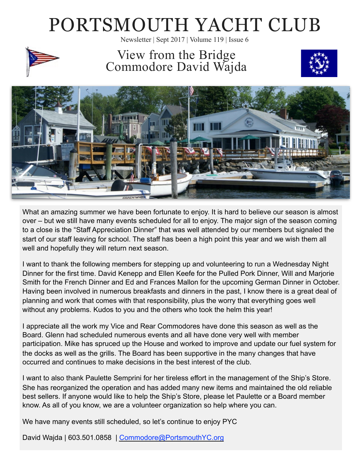# PORTSMOUTH YACHT CLUB

Newsletter | Sept 2017 | Volume 119 | Issue 6



View from the Bridge Commodore David Wajda





What an amazing summer we have been fortunate to enjoy. It is hard to believe our season is almost over – but we still have many events scheduled for all to enjoy. The major sign of the season coming to a close is the "Staff Appreciation Dinner" that was well attended by our members but signaled the start of our staff leaving for school. The staff has been a high point this year and we wish them all well and hopefully they will return next season.

I want to thank the following members for stepping up and volunteering to run a Wednesday Night Dinner for the first time. David Kenepp and Ellen Keefe for the Pulled Pork Dinner, Will and Marjorie Smith for the French Dinner and Ed and Frances Mallon for the upcoming German Dinner in October. Having been involved in numerous breakfasts and dinners in the past, I know there is a great deal of planning and work that comes with that responsibility, plus the worry that everything goes well without any problems. Kudos to you and the others who took the helm this year!

I appreciate all the work my Vice and Rear Commodores have done this season as well as the Board. Glenn had scheduled numerous events and all have done very well with member participation. Mike has spruced up the House and worked to improve and update our fuel system for the docks as well as the grills. The Board has been supportive in the many changes that have occurred and continues to make decisions in the best interest of the club.

I want to also thank Paulette Semprini for her tireless effort in the management of the Ship's Store. She has reorganized the operation and has added many new items and maintained the old reliable best sellers. If anyone would like to help the Ship's Store, please let Paulette or a Board member know. As all of you know, we are a volunteer organization so help where you can.

We have many events still scheduled, so let's continue to enjoy PYC

David Wajda | 603.501.0858 | [Commodore@PortsmouthYC.org](mailto:commodore@PortsmouthYC.org?subject=)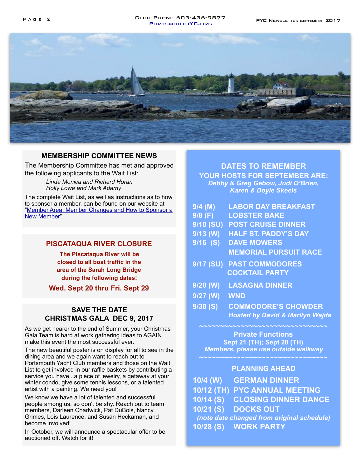#### Pag e 2 PYC NEWSLETTER September 2017 Club Phone 603-436-9877 [PortsmouthYC.org](http://PortsmouthYC.org)



#### **MEMBERSHIP COMMITTEE NEWS**

The Membership Committee has met and approved the following applicants to the Wait List:

> *Linda Monica and Richard Horan Holly Lowe and Mark Adamy*

The complete Wait List, as well as instructions as to how to sponsor a member, can be found on our website at ["Member Area: Member Changes and How to Sponsor a](http://portsmouthyc.org/WP/?page_id=3185)  [New Member](http://portsmouthyc.org/WP/?page_id=3185)".

#### **PISCATAQUA RIVER CLOSURE**

**The Piscataqua River will be closed to all boat traffic in the area of the Sarah Long Bridge during the following dates:** 

**Wed. Sept 20 thru Fri. Sept 29**

### **SAVE THE DATE CHRISTMAS GALA DEC 9, 2017**

As we get nearer to the end of Summer, your Christmas Gala Team is hard at work gathering ideas to AGAIN make this event the most successful ever.

The new beautiful poster is on display for all to see in the dining area and we again want to reach out to Portsmouth Yacht Club members and those on the Wait List to get involved in our raffle baskets by contributing a service you have...a piece of jewelry, a getaway at your winter condo, give some tennis lessons, or a talented artist with a painting. We need you!

We know we have a lot of talented and successful people among us, so don't be shy. Reach out to team members, Darleen Chadwick, Pat DuBois, Nancy Grimes, Lois Laurence, and Susan Heckaman, and become involved!

In October, we will announce a spectacular offer to be auctioned off. Watch for it!

#### **DATES TO REMEMBER**

**YOUR HOSTS FOR SEPTEMBER ARE:**  *Debby & Greg Gebow, Judi O'Brien, Karen & Doyle Skeels* 

| <b>LABOR DAY BREAKFAST</b><br>9/4 (M) |  |
|---------------------------------------|--|
|---------------------------------------|--|

- **9/8 (F) LOBSTER BAKE**
- **9/10 (SU) POST CRUISE DINNER**
- **9/13 (W) HALF ST. PADDY'S DAY**
- **9/16 (S) DAVE MOWERS MEMORIAL PURSUIT RACE**
- **9/17 (SU) PAST COMMODORES COCKTAIL PARTY**
- **9/20 (W) LASAGNA DINNER**
- **9/27 (W) WND**
- **9/30 (S) COMMODORE'S CHOWDER**   *Hosted by David & Marilyn Wajda*

### **Private Functions Sept 21 (TH); Sept 28 (TH)**

*Members, please use outside walkway* 

#### **PLANNING AHEAD**

**10/4 (W) GERMAN DINNER 10/12 (TH) PYC ANNUAL MEETING 10/14 (S) CLOSING DINNER DANCE 10/21 (S) DOCKS OUT**  *(note date changed from original schedule)*  **10/28 (S) WORK PARTY**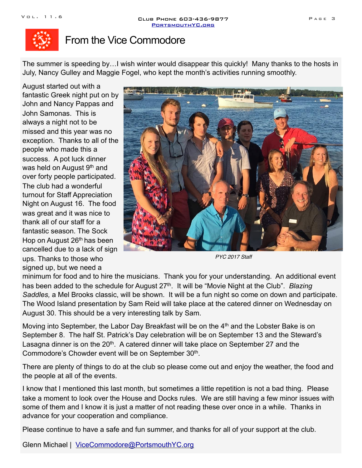

### From the Vice Commodore

The summer is speeding by…I wish winter would disappear this quickly! Many thanks to the hosts in July, Nancy Gulley and Maggie Fogel, who kept the month's activities running smoothly.

August started out with a fantastic Greek night put on by John and Nancy Pappas and John Samonas. This is always a night not to be missed and this year was no exception. Thanks to all of the people who made this a success. A pot luck dinner was held on August 9<sup>th</sup> and over forty people participated. The club had a wonderful turnout for Staff Appreciation Night on August 16. The food was great and it was nice to thank all of our staff for a fantastic season. The Sock Hop on August 26<sup>th</sup> has been cancelled due to a lack of sign ups. Thanks to those who signed up, but we need a



*PYC 2017 Staff*

minimum for food and to hire the musicians. Thank you for your understanding. An additional event has been added to the schedule for August 27th. It will be "Movie Night at the Club". *Blazing Saddles,* a Mel Brooks classic, will be shown. It will be a fun night so come on down and participate. The Wood Island presentation by Sam Reid will take place at the catered dinner on Wednesday on August 30. This should be a very interesting talk by Sam.

Moving into September, the Labor Day Breakfast will be on the 4<sup>th</sup> and the Lobster Bake is on September 8. The half St. Patrick's Day celebration will be on September 13 and the Steward's Lasagna dinner is on the 20<sup>th</sup>. A catered dinner will take place on September 27 and the Commodore's Chowder event will be on September 30<sup>th</sup>.

There are plenty of things to do at the club so please come out and enjoy the weather, the food and the people at all of the events.

I know that I mentioned this last month, but sometimes a little repetition is not a bad thing. Please take a moment to look over the House and Docks rules. We are still having a few minor issues with some of them and I know it is just a matter of not reading these over once in a while. Thanks in advance for your cooperation and compliance.

Please continue to have a safe and fun summer, and thanks for all of your support at the club.

Glenn Michael | [ViceCommodore@PortsmouthYC.org](mailto:ViceCommodore@PortsmouthYC.org?subject=)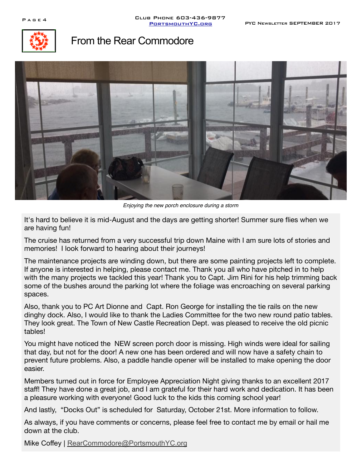

### From the Rear Commodore



*Enjoying the new porch enclosure during a storm*

It's hard to believe it is mid-August and the days are getting shorter! Summer sure flies when we are having fun!

The cruise has returned from a very successful trip down Maine with I am sure lots of stories and memories! I look forward to hearing about their journeys!

The maintenance projects are winding down, but there are some painting projects left to complete. If anyone is interested in helping, please contact me. Thank you all who have pitched in to help with the many projects we tackled this year! Thank you to Capt. Jim Rini for his help trimming back some of the bushes around the parking lot where the foliage was encroaching on several parking spaces.

Also, thank you to PC Art Dionne and Capt. Ron George for installing the tie rails on the new dinghy dock. Also, I would like to thank the Ladies Committee for the two new round patio tables. They look great. The Town of New Castle Recreation Dept. was pleased to receive the old picnic tables!

You might have noticed the NEW screen porch door is missing. High winds were ideal for sailing that day, but not for the door! A new one has been ordered and will now have a safety chain to prevent future problems. Also, a paddle handle opener will be installed to make opening the door easier.

Members turned out in force for Employee Appreciation Night giving thanks to an excellent 2017 staff! They have done a great job, and I am grateful for their hard work and dedication. It has been a pleasure working with everyone! Good luck to the kids this coming school year!

And lastly, "Docks Out" is scheduled for Saturday, October 21st. More information to follow.

As always, if you have comments or concerns, please feel free to contact me by email or hail me down at the club.

Mike Coffey | [RearCommodore@PortsmouthYC.org](mailto:RearCommodore@PortsmouthYC.org?subject=)